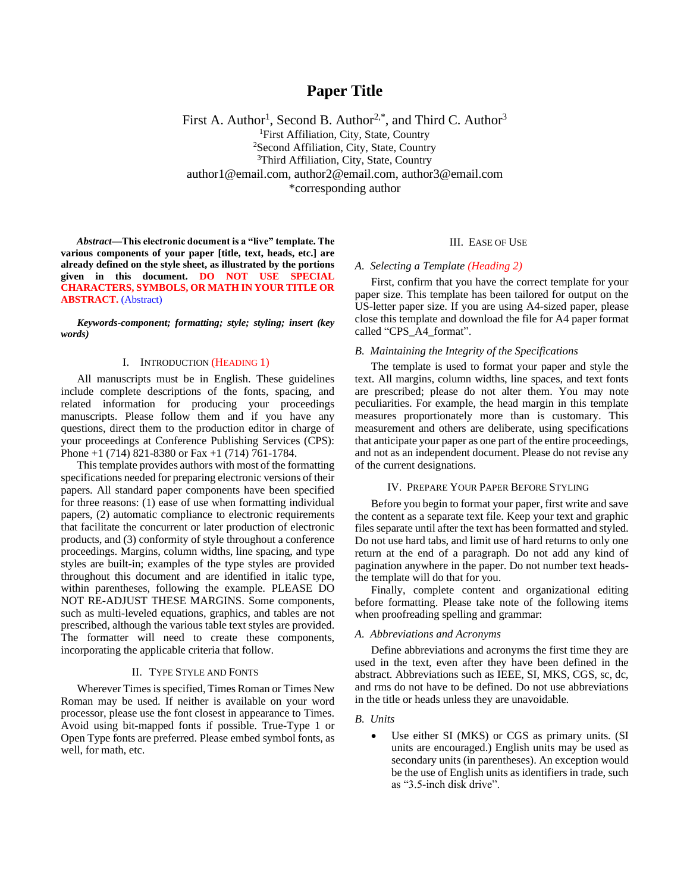# **Paper Title**

First A. Author<sup>1</sup>, Second B. Author<sup>2,\*</sup>, and Third C. Author<sup>3</sup> <sup>1</sup>First Affiliation, City, State, Country <sup>2</sup>Second Affiliation, City, State, Country <sup>3</sup>Third Affiliation, City, State, Country author1@email.com, author2@email.com, author3@email.com \*corresponding author

*Abstract***—This electronic document is a "live" template. The various components of your paper [title, text, heads, etc.] are already defined on the style sheet, as illustrated by the portions given in this document. DO NOT USE SPECIAL CHARACTERS, SYMBOLS, OR MATH IN YOUR TITLE OR ABSTRACT.** (Abstract)

*Keywords-component; formatting; style; styling; insert (key words)*

#### I. INTRODUCTION (HEADING 1)

All manuscripts must be in English. These guidelines include complete descriptions of the fonts, spacing, and related information for producing your proceedings manuscripts. Please follow them and if you have any questions, direct them to the production editor in charge of your proceedings at Conference Publishing Services (CPS): Phone +1 (714) 821-8380 or Fax +1 (714) 761-1784.

This template provides authors with most of the formatting specifications needed for preparing electronic versions of their papers. All standard paper components have been specified for three reasons: (1) ease of use when formatting individual papers, (2) automatic compliance to electronic requirements that facilitate the concurrent or later production of electronic products, and (3) conformity of style throughout a conference proceedings. Margins, column widths, line spacing, and type styles are built-in; examples of the type styles are provided throughout this document and are identified in italic type, within parentheses, following the example. PLEASE DO NOT RE-ADJUST THESE MARGINS. Some components, such as multi-leveled equations, graphics, and tables are not prescribed, although the various table text styles are provided. The formatter will need to create these components, incorporating the applicable criteria that follow.

#### II. TYPE STYLE AND FONTS

Wherever Times is specified, Times Roman or Times New Roman may be used. If neither is available on your word processor, please use the font closest in appearance to Times. Avoid using bit-mapped fonts if possible. True-Type 1 or Open Type fonts are preferred. Please embed symbol fonts, as well, for math, etc.

# III. EASE OF USE

#### *A. Selecting a Template (Heading 2)*

First, confirm that you have the correct template for your paper size. This template has been tailored for output on the US-letter paper size. If you are using A4-sized paper, please close this template and download the file for A4 paper format called "CPS\_A4\_format".

# *B. Maintaining the Integrity of the Specifications*

The template is used to format your paper and style the text. All margins, column widths, line spaces, and text fonts are prescribed; please do not alter them. You may note peculiarities. For example, the head margin in this template measures proportionately more than is customary. This measurement and others are deliberate, using specifications that anticipate your paper as one part of the entire proceedings, and not as an independent document. Please do not revise any of the current designations.

#### IV. PREPARE YOUR PAPER BEFORE STYLING

Before you begin to format your paper, first write and save the content as a separate text file. Keep your text and graphic files separate until after the text has been formatted and styled. Do not use hard tabs, and limit use of hard returns to only one return at the end of a paragraph. Do not add any kind of pagination anywhere in the paper. Do not number text headsthe template will do that for you.

Finally, complete content and organizational editing before formatting. Please take note of the following items when proofreading spelling and grammar:

# *A. Abbreviations and Acronyms*

Define abbreviations and acronyms the first time they are used in the text, even after they have been defined in the abstract. Abbreviations such as IEEE, SI, MKS, CGS, sc, dc, and rms do not have to be defined. Do not use abbreviations in the title or heads unless they are unavoidable.

#### *B. Units*

Use either SI (MKS) or CGS as primary units. (SI units are encouraged.) English units may be used as secondary units (in parentheses). An exception would be the use of English units as identifiers in trade, such as "3.5-inch disk drive".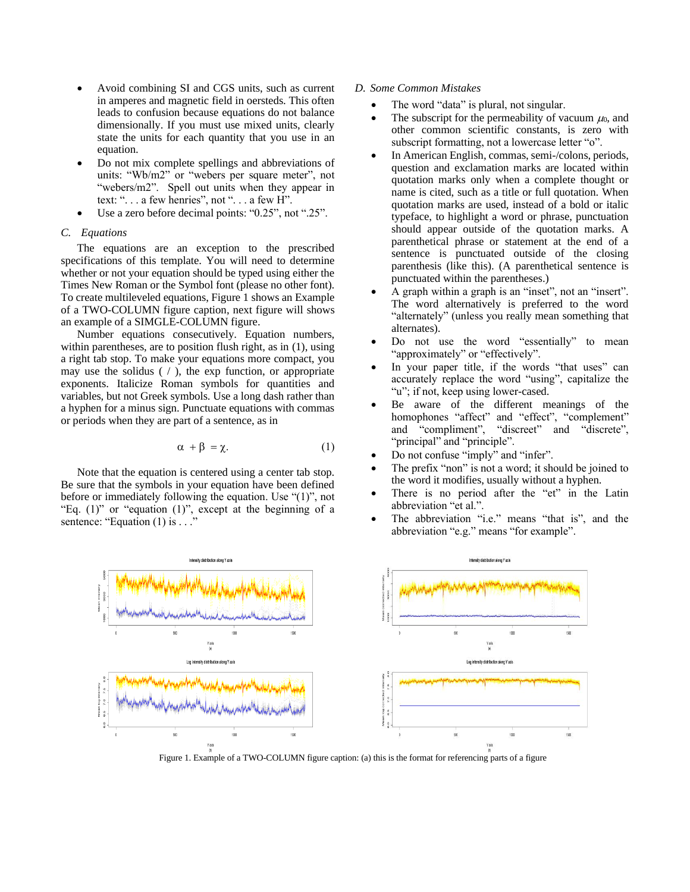- Avoid combining SI and CGS units, such as current in amperes and magnetic field in oersteds. This often leads to confusion because equations do not balance dimensionally. If you must use mixed units, clearly state the units for each quantity that you use in an equation.
- Do not mix complete spellings and abbreviations of units: "Wb/m2" or "webers per square meter", not "webers/m2". Spell out units when they appear in text: ". . . a few henries", not ". . . a few H".
- Use a zero before decimal points: "0.25", not ".25".

### *C. Equations*

The equations are an exception to the prescribed specifications of this template. You will need to determine whether or not your equation should be typed using either the Times New Roman or the Symbol font (please no other font). To create multileveled equations, Figure 1 shows an Example of a TWO-COLUMN figure caption, next figure will shows an example of a SIMGLE-COLUMN figure.

Number equations consecutively. Equation numbers, within parentheses, are to position flush right, as in (1), using a right tab stop. To make your equations more compact, you may use the solidus  $( / )$ , the exp function, or appropriate exponents. Italicize Roman symbols for quantities and variables, but not Greek symbols. Use a long dash rather than a hyphen for a minus sign. Punctuate equations with commas or periods when they are part of a sentence, as in

$$
\alpha + \beta = \chi. \tag{1}
$$

Note that the equation is centered using a center tab stop. Be sure that the symbols in your equation have been defined before or immediately following the equation. Use "(1)", not "Eq.  $(1)$ " or "equation  $(1)$ ", except at the beginning of a sentence: "Equation (1) is . . ."

### *D. Some Common Mistakes*

- The word "data" is plural, not singular.
- The subscript for the permeability of vacuum  $\mu_0$ , and other common scientific constants, is zero with subscript formatting, not a lowercase letter "o".
- In American English, commas, semi-/colons, periods, question and exclamation marks are located within quotation marks only when a complete thought or name is cited, such as a title or full quotation. When quotation marks are used, instead of a bold or italic typeface, to highlight a word or phrase, punctuation should appear outside of the quotation marks. A parenthetical phrase or statement at the end of a sentence is punctuated outside of the closing parenthesis (like this). (A parenthetical sentence is punctuated within the parentheses.)
- A graph within a graph is an "inset", not an "insert". The word alternatively is preferred to the word "alternately" (unless you really mean something that alternates).
- Do not use the word "essentially" to mean "approximately" or "effectively".
- In your paper title, if the words "that uses" can accurately replace the word "using", capitalize the "u"; if not, keep using lower-cased.
- Be aware of the different meanings of the homophones "affect" and "effect", "complement" and "compliment", "discreet" and "discrete", "principal" and "principle".
- Do not confuse "imply" and "infer".
- The prefix "non" is not a word; it should be joined to the word it modifies, usually without a hyphen.
- There is no period after the "et" in the Latin abbreviation "et al.".
- The abbreviation "i.e." means "that is", and the abbreviation "e.g." means "for example".



Figure 1. Example of a TWO-COLUMN figure caption: (a) this is the format for referencing parts of a figure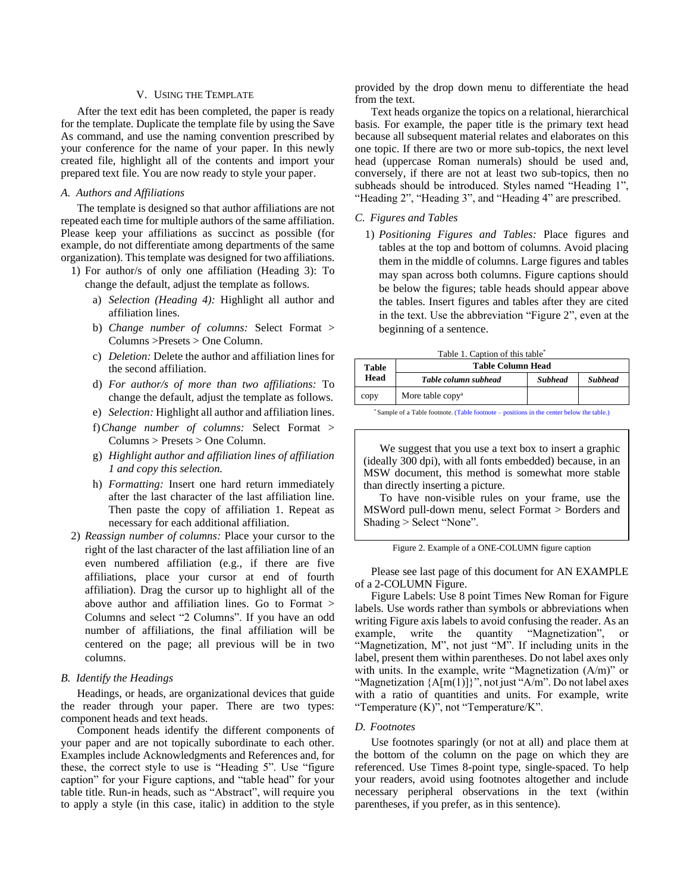#### V. USING THE TEMPLATE

After the text edit has been completed, the paper is ready for the template. Duplicate the template file by using the Save As command, and use the naming convention prescribed by your conference for the name of your paper. In this newly created file, highlight all of the contents and import your prepared text file. You are now ready to style your paper.

### *A. Authors and Affiliations*

The template is designed so that author affiliations are not repeated each time for multiple authors of the same affiliation. Please keep your affiliations as succinct as possible (for example, do not differentiate among departments of the same organization). This template was designed for two affiliations.

- 1) For author/s of only one affiliation (Heading 3): To change the default, adjust the template as follows.
	- a) *Selection (Heading 4):* Highlight all author and affiliation lines.
	- b) *Change number of columns:* Select Format > Columns >Presets > One Column.
	- c) *Deletion:* Delete the author and affiliation lines for the second affiliation.
	- d) *For author/s of more than two affiliations:* To change the default, adjust the template as follows.
	- e) *Selection:* Highlight all author and affiliation lines.
	- f)*Change number of columns:* Select Format > Columns > Presets > One Column.
	- g) *Highlight author and affiliation lines of affiliation 1 and copy this selection.*
	- h) *Formatting:* Insert one hard return immediately after the last character of the last affiliation line. Then paste the copy of affiliation 1. Repeat as necessary for each additional affiliation.
- 2) *Reassign number of columns:* Place your cursor to the right of the last character of the last affiliation line of an even numbered affiliation (e.g., if there are five affiliations, place your cursor at end of fourth affiliation). Drag the cursor up to highlight all of the above author and affiliation lines. Go to Format > Columns and select "2 Columns". If you have an odd number of affiliations, the final affiliation will be centered on the page; all previous will be in two columns.

# *B. Identify the Headings*

Headings, or heads, are organizational devices that guide the reader through your paper. There are two types: component heads and text heads.

Component heads identify the different components of your paper and are not topically subordinate to each other. Examples include Acknowledgments and References and, for these, the correct style to use is "Heading 5". Use "figure caption" for your Figure captions, and "table head" for your table title. Run-in heads, such as "Abstract", will require you to apply a style (in this case, italic) in addition to the style

provided by the drop down menu to differentiate the head from the text.

Text heads organize the topics on a relational, hierarchical basis. For example, the paper title is the primary text head because all subsequent material relates and elaborates on this one topic. If there are two or more sub-topics, the next level head (uppercase Roman numerals) should be used and, conversely, if there are not at least two sub-topics, then no subheads should be introduced. Styles named "Heading 1", "Heading 2", "Heading 3", and "Heading 4" are prescribed.

# *C. Figures and Tables*

1) *Positioning Figures and Tables:* Place figures and tables at the top and bottom of columns. Avoid placing them in the middle of columns. Large figures and tables may span across both columns. Figure captions should be below the figures; table heads should appear above the tables. Insert figures and tables after they are cited in the text. Use the abbreviation "Figure 2", even at the beginning of a sentence.

|  | Table 1. Caption of this table* |  |  |  |
|--|---------------------------------|--|--|--|
|--|---------------------------------|--|--|--|

| Table | <b>Table Column Head</b>     |                |                |  |
|-------|------------------------------|----------------|----------------|--|
| Head  | Table column subhead         | <b>Subhead</b> | <b>Subhead</b> |  |
| copy  | More table copy <sup>a</sup> |                |                |  |

\* Sample of a Table footnote. (Table footnote – positions in the center below the table.)

We suggest that you use a text box to insert a graphic (ideally 300 dpi), with all fonts embedded) because, in an MSW document, this method is somewhat more stable than directly inserting a picture.

To have non-visible rules on your frame, use the MSWord pull-down menu, select Format > Borders and Shading > Select "None".

Please see last page of this document for AN EXAMPLE of a 2-COLUMN Figure.

Figure Labels: Use 8 point Times New Roman for Figure labels. Use words rather than symbols or abbreviations when writing Figure axis labels to avoid confusing the reader. As an example, write the quantity "Magnetization", or "Magnetization, M", not just "M". If including units in the label, present them within parentheses. Do not label axes only with units. In the example, write "Magnetization (A/m)" or "Magnetization  ${A[m(1)]}$ ", not just "A/m". Do not label axes with a ratio of quantities and units. For example, write "Temperature  $(K)$ ", not "Temperature/K".

#### *D. Footnotes*

Use footnotes sparingly (or not at all) and place them at the bottom of the column on the page on which they are referenced. Use Times 8-point type, single-spaced. To help your readers, avoid using footnotes altogether and include necessary peripheral observations in the text (within parentheses, if you prefer, as in this sentence).